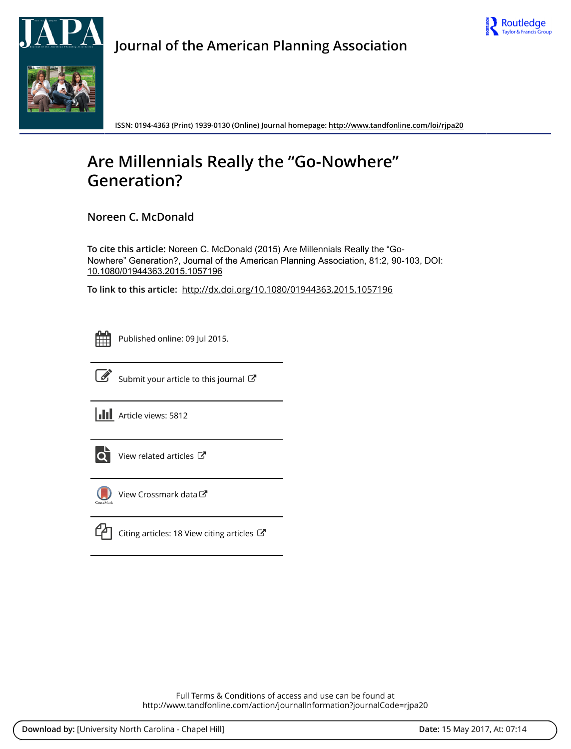



**Journal of the American Planning Association**

**ISSN: 0194-4363 (Print) 1939-0130 (Online) Journal homepage:<http://www.tandfonline.com/loi/rjpa20>**

## **Are Millennials Really the "Go-Nowhere" Generation?**

**Noreen C. McDonald**

**To cite this article:** Noreen C. McDonald (2015) Are Millennials Really the "Go-Nowhere" Generation?, Journal of the American Planning Association, 81:2, 90-103, DOI: [10.1080/01944363.2015.1057196](http://www.tandfonline.com/action/showCitFormats?doi=10.1080/01944363.2015.1057196)

**To link to this article:** <http://dx.doi.org/10.1080/01944363.2015.1057196>

|  | - |  |
|--|---|--|
|  |   |  |
|  |   |  |
|  |   |  |

Published online: 09 Jul 2015.



 $\overrightarrow{S}$  [Submit your article to this journal](http://www.tandfonline.com/action/authorSubmission?journalCode=rjpa20&show=instructions)  $\overrightarrow{S}$ 

**III** Article views: 5812



 $\overrightarrow{Q}$  [View related articles](http://www.tandfonline.com/doi/mlt/10.1080/01944363.2015.1057196)  $\overrightarrow{C}$ 



 $\bigcirc$  [View Crossmark data](http://crossmark.crossref.org/dialog/?doi=10.1080/01944363.2015.1057196&domain=pdf&date_stamp=2015-07-09) $\mathbb{Z}$ 



 $\mathbb{C}$  [Citing articles: 18 View citing articles](http://www.tandfonline.com/doi/citedby/10.1080/01944363.2015.1057196#tabModule)  $\mathbb{C}$ 

Full Terms & Conditions of access and use can be found at <http://www.tandfonline.com/action/journalInformation?journalCode=rjpa20>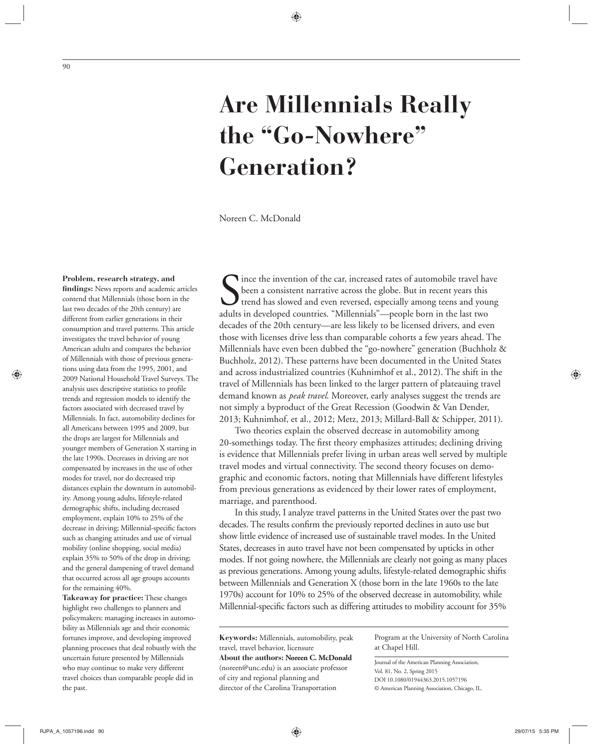# **Are Millennials Really the "Go-Nowhere" Generation?**

Noreen C. McDonald

**Problem, research strategy, and**  findings: News reports and academic articles contend that Millennials (those born in the last two decades of the 20th century) are different from earlier generations in their consumption and travel patterns. This article investigates the travel behavior of young American adults and compares the behavior of Millennials with those of previous generations using data from the 1995, 2001, and 2009 National Household Travel Surveys. The analysis uses descriptive statistics to profile trends and regression models to identify the factors associated with decreased travel by Millennials. In fact, automobility declines for all Americans between 1995 and 2009, but the drops are largest for Millennials and younger members of Generation X starting in the late 1990s. Decreases in driving are not compensated by increases in the use of other modes for travel, nor do decreased trip distances explain the downturn in automobility. Among young adults, lifestyle-related demographic shifts, including decreased employment, explain 10% to 25% of the decrease in driving; Millennial-specific factors such as changing attitudes and use of virtual mobility (online shopping, social media) explain 35% to 50% of the drop in driving; and the general dampening of travel demand that occurred across all age groups accounts for the remaining 40%.

**Takeaway for practice:** These changes highlight two challenges to planners and policymakers: managing increases in automobility as Millennials age and their economic fortunes improve, and developing improved planning processes that deal robustly with the uncertain future presented by Millennials who may continue to make very different travel choices than comparable people did in the past.

S<br>adults ince the invention of the car, increased rates of automobile travel have been a consistent narrative across the globe. But in recent years this trend has slowed and even reversed, especially among teens and young adults in developed countries. "Millennials"—people born in the last two decades of the 20th century—are less likely to be licensed drivers, and even those with licenses drive less than comparable cohorts a few years ahead. The Millennials have even been dubbed the "go-nowhere" generation (Buchholz & Buchholz, 2012). These patterns have been documented in the United States and across industrialized countries (Kuhnimhof et al., 2012). The shift in the travel of Millennials has been linked to the larger pattern of plateauing travel demand known as *peak travel*. Moreover, early analyses suggest the trends are not simply a byproduct of the Great Recession (Goodwin & Van Dender, 2013; Kuhnimhof, et al., 2012; Metz, 2013; Millard-Ball & Schipper, 2011).

Two theories explain the observed decrease in automobility among 20-somethings today. The first theory emphasizes attitudes; declining driving is evidence that Millennials prefer living in urban areas well served by multiple travel modes and virtual connectivity. The second theory focuses on demographic and economic factors, noting that Millennials have different lifestyles from previous generations as evidenced by their lower rates of employment, marriage, and parenthood.

In this study, I analyze travel patterns in the United States over the past two decades. The results confirm the previously reported declines in auto use but show little evidence of increased use of sustainable travel modes. In the United States, decreases in auto travel have not been compensated by upticks in other modes. If not going nowhere, the Millennials are clearly not going as many places as previous generations. Among young adults, lifestyle-related demographic shifts between Millennials and Generation X (those born in the late 1960s to the late 1970s) account for 10% to 25% of the observed decrease in automobility, while Millennial-specific factors such as differing attitudes to mobility account for 35%

**Keywords:** Millennials, automobility, peak travel, travel behavior, licensure **About the authors: Noreen C. McDonald** (noreen@unc.edu) is an associate professor of city and regional planning and director of the Carolina Transportation

Program at the University of North Carolina at Chapel Hill.

Journal of the American Planning Association, Vol. 81, No. 2, Spring 2015 DOI 10.1080/01944363.2015.1057196 © American Planning Association, Chicago, IL.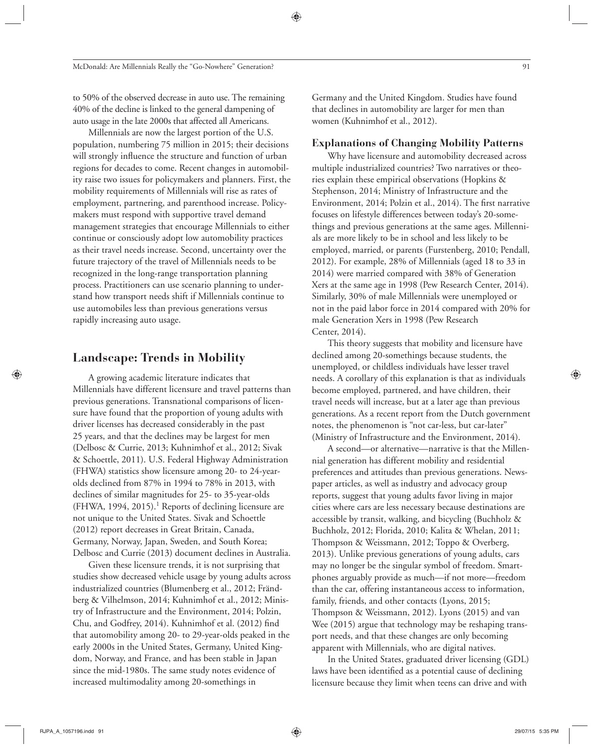to 50% of the observed decrease in auto use. The remaining 40% of the decline is linked to the general dampening of auto usage in the late 2000s that affected all Americans.

Millennials are now the largest portion of the U.S. population, numbering 75 million in 2015; their decisions will strongly influence the structure and function of urban regions for decades to come. Recent changes in automobility raise two issues for policymakers and planners. First, the mobility requirements of Millennials will rise as rates of employment, partnering, and parenthood increase. Policymakers must respond with supportive travel demand management strategies that encourage Millennials to either continue or consciously adopt low automobility practices as their travel needs increase. Second, uncertainty over the future trajectory of the travel of Millennials needs to be recognized in the long-range transportation planning process. Practitioners can use scenario planning to understand how transport needs shift if Millennials continue to use automobiles less than previous generations versus rapidly increasing auto usage.

### **Landscape: Trends in Mobility**

A growing academic literature indicates that Millennials have different licensure and travel patterns than previous generations. Transnational comparisons of licensure have found that the proportion of young adults with driver licenses has decreased considerably in the past 25 years, and that the declines may be largest for men (Delbosc & Currie, 2013; Kuhnimhof et al., 2012; Sivak & Schoettle, 2011). U.S. Federal Highway Administration (FHWA) statistics show licensure among 20- to 24-yearolds declined from 87% in 1994 to 78% in 2013, with declines of similar magnitudes for 25- to 35-year-olds  $(FHWA, 1994, 2015).$ <sup>1</sup> Reports of declining licensure are not unique to the United States. Sivak and Schoettle (2012) report decreases in Great Britain, Canada, Germany, Norway, Japan, Sweden, and South Korea; Delbosc and Currie (2013) document declines in Australia.

Given these licensure trends, it is not surprising that studies show decreased vehicle usage by young adults across industrialized countries (Blumenberg et al., 2012; Frändberg & Vilhelmson, 2014; Kuhnimhof et al., 2012; Ministry of Infrastructure and the Environment, 2014; Polzin, Chu, and Godfrey, 2014). Kuhnimhof et al. (2012) find that automobility among 20- to 29-year-olds peaked in the early 2000s in the United States, Germany, United Kingdom, Norway, and France, and has been stable in Japan since the mid-1980s. The same study notes evidence of increased multimodality among 20-somethings in

Germany and the United Kingdom. Studies have found that declines in automobility are larger for men than women (Kuhnimhof et al., 2012).

#### **Explanations of Changing Mobility Patterns**

Why have licensure and automobility decreased across multiple industrialized countries? Two narratives or theories explain these empirical observations (Hopkins & Stephenson, 2014; Ministry of Infrastructure and the Environment, 2014; Polzin et al., 2014). The first narrative focuses on lifestyle differences between today's 20-somethings and previous generations at the same ages. Millennials are more likely to be in school and less likely to be employed, married, or parents (Furstenberg, 2010; Pendall, 2012). For example, 28% of Millennials (aged 18 to 33 in 2014) were married compared with 38% of Generation Xers at the same age in 1998 (Pew Research Center, 2014). Similarly, 30% of male Millennials were unemployed or not in the paid labor force in 2014 compared with 20% for male Generation Xers in 1998 (Pew Research Center, 2014).

This theory suggests that mobility and licensure have declined among 20-somethings because students, the unemployed, or childless individuals have lesser travel needs. A corollary of this explanation is that as individuals become employed, partnered, and have children, their travel needs will increase, but at a later age than previous generations. As a recent report from the Dutch government notes, the phenomenon is "not car-less, but car-later" (Ministry of Infrastructure and the Environment, 2014).

A second—or alternative—narrative is that the Millennial generation has different mobility and residential preferences and attitudes than previous generations. Newspaper articles, as well as industry and advocacy group reports, suggest that young adults favor living in major cities where cars are less necessary because destinations are accessible by transit, walking, and bicycling (Buchholz & Buchholz, 2012; Florida, 2010; Kalita & Whelan, 2011; Thompson & Weissmann, 2012; Toppo & Overberg, 2013). Unlike previous generations of young adults, cars may no longer be the singular symbol of freedom. Smartphones arguably provide as much—if not more—freedom than the car, offering instantaneous access to information, family, friends, and other contacts (Lyons, 2015; Thompson & Weissmann, 2012). Lyons (2015) and van Wee (2015) argue that technology may be reshaping transport needs, and that these changes are only becoming apparent with Millennials, who are digital natives.

In the United States, graduated driver licensing (GDL) laws have been identified as a potential cause of declining licensure because they limit when teens can drive and with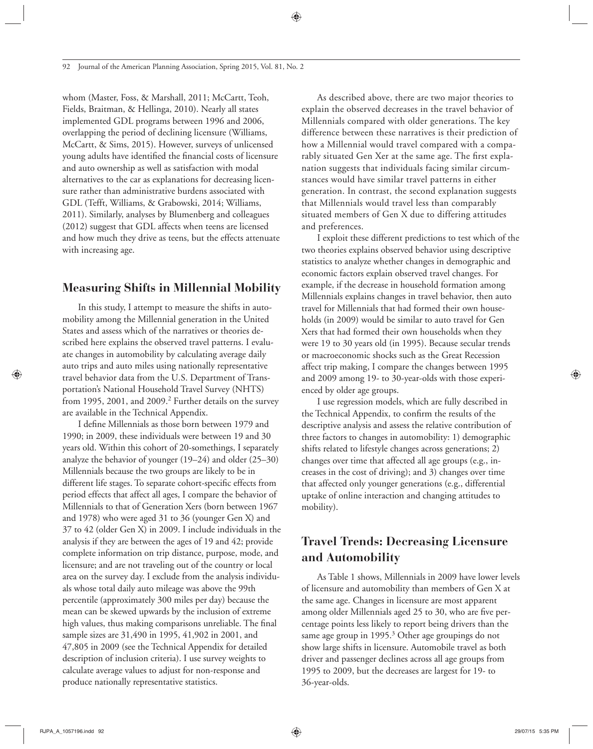whom (Master, Foss, & Marshall, 2011; McCartt, Teoh, Fields, Braitman, & Hellinga, 2010). Nearly all states implemented GDL programs between 1996 and 2006, overlapping the period of declining licensure (Williams, McCartt, & Sims, 2015). However, surveys of unlicensed young adults have identified the financial costs of licensure and auto ownership as well as satisfaction with modal alternatives to the car as explanations for decreasing licensure rather than administrative burdens associated with GDL (Tefft, Williams, & Grabowski, 2014; Williams, 2011). Similarly, analyses by Blumenberg and colleagues (2012) suggest that GDL affects when teens are licensed and how much they drive as teens, but the effects attenuate with increasing age.

## **Measuring Shifts in Millennial Mobility**

In this study, I attempt to measure the shifts in automobility among the Millennial generation in the United States and assess which of the narratives or theories described here explains the observed travel patterns. I evaluate changes in automobility by calculating average daily auto trips and auto miles using nationally representative travel behavior data from the U.S. Department of Transportation's National Household Travel Survey (NHTS) from 1995, 2001, and 2009.<sup>2</sup> Further details on the survey are available in the Technical Appendix.

I define Millennials as those born between 1979 and 1990; in 2009, these individuals were between 19 and 30 years old. Within this cohort of 20-somethings, I separately analyze the behavior of younger (19–24) and older (25–30) Millennials because the two groups are likely to be in different life stages. To separate cohort-specific effects from period effects that affect all ages, I compare the behavior of Millennials to that of Generation Xers (born between 1967 and 1978) who were aged 31 to 36 (younger Gen X) and 37 to 42 (older Gen X) in 2009. I include individuals in the analysis if they are between the ages of 19 and 42; provide complete information on trip distance, purpose, mode, and licensure; and are not traveling out of the country or local area on the survey day. I exclude from the analysis individuals whose total daily auto mileage was above the 99th percentile (approximately 300 miles per day) because the mean can be skewed upwards by the inclusion of extreme high values, thus making comparisons unreliable. The final sample sizes are 31,490 in 1995, 41,902 in 2001, and 47,805 in 2009 (see the Technical Appendix for detailed description of inclusion criteria). I use survey weights to calculate average values to adjust for non-response and produce nationally representative statistics.

As described above, there are two major theories to explain the observed decreases in the travel behavior of Millennials compared with older generations. The key difference between these narratives is their prediction of how a Millennial would travel compared with a comparably situated Gen Xer at the same age. The first explanation suggests that individuals facing similar circumstances would have similar travel patterns in either generation. In contrast, the second explanation suggests that Millennials would travel less than comparably situated members of Gen X due to differing attitudes and preferences.

I exploit these different predictions to test which of the two theories explains observed behavior using descriptive statistics to analyze whether changes in demographic and economic factors explain observed travel changes. For example, if the decrease in household formation among Millennials explains changes in travel behavior, then auto travel for Millennials that had formed their own households (in 2009) would be similar to auto travel for Gen Xers that had formed their own households when they were 19 to 30 years old (in 1995). Because secular trends or macroeconomic shocks such as the Great Recession affect trip making, I compare the changes between 1995 and 2009 among 19- to 30-year-olds with those experienced by older age groups.

I use regression models, which are fully described in the Technical Appendix, to confirm the results of the descriptive analysis and assess the relative contribution of three factors to changes in automobility: 1) demographic shifts related to lifestyle changes across generations; 2) changes over time that affected all age groups (e.g., increases in the cost of driving); and 3) changes over time that affected only younger generations (e.g., differential uptake of online interaction and changing attitudes to mobility).

## **Travel Trends: Decreasing Licensure and Automobility**

As Table 1 shows, Millennials in 2009 have lower levels of licensure and automobility than members of Gen X at the same age. Changes in licensure are most apparent among older Millennials aged 25 to 30, who are five percentage points less likely to report being drivers than the same age group in  $1995.<sup>3</sup>$  Other age groupings do not show large shifts in licensure. Automobile travel as both driver and passenger declines across all age groups from 1995 to 2009, but the decreases are largest for 19- to 36-year-olds.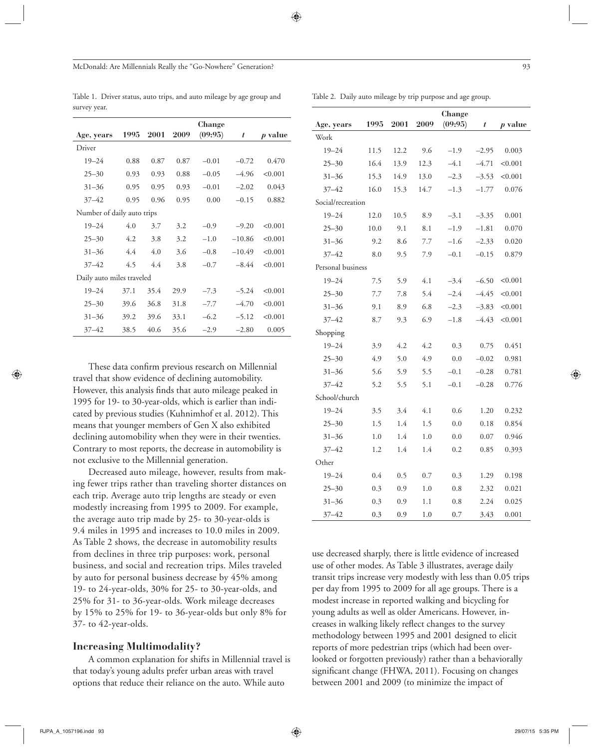These data confirm previous research on Millennial travel that show evidence of declining automobility. However, this analysis finds that auto mileage peaked in 1995 for 19- to 30-year-olds, which is earlier than indicated by previous studies (Kuhnimhof et al. 2012). This means that younger members of Gen X also exhibited declining automobility when they were in their twenties. Contrary to most reports, the decrease in automobility is not exclusive to the Millennial generation.

Decreased auto mileage, however, results from making fewer trips rather than traveling shorter distances on each trip. Average auto trip lengths are steady or even modestly increasing from 1995 to 2009. For example, the average auto trip made by 25- to 30-year-olds is 9.4 miles in 1995 and increases to 10.0 miles in 2009. As Table 2 shows, the decrease in automobility results from declines in three trip purposes: work, personal business, and social and recreation trips. Miles traveled by auto for personal business decrease by 45% among 19- to 24-year-olds, 30% for 25- to 30-year-olds, and 25% for 31- to 36-year-olds. Work mileage decreases by 15% to 25% for 19- to 36-year-olds but only 8% for 37- to 42-year-olds.

#### **Increasing Multimodality?**

A common explanation for shifts in Millennial travel is that today's young adults prefer urban areas with travel options that reduce their reliance on the auto. While auto

Table 2. Daily auto mileage by trip purpose and age group.

| Age, years        | 1995 | 2001 | 2009 | Change<br>(09:95) | t       | p value |
|-------------------|------|------|------|-------------------|---------|---------|
| Work              |      |      |      |                   |         |         |
| $19 - 24$         | 11.5 | 12.2 | 9.6  | $-1.9$            | $-2.95$ | 0.003   |
| $25 - 30$         | 16.4 | 13.9 | 12.3 | $-4.1$            | $-4.71$ | < 0.001 |
| $31 - 36$         | 15.3 | 14.9 | 13.0 | $-2.3$            | $-3.53$ | < 0.001 |
| $37 - 42$         | 16.0 | 15.3 | 14.7 | $-1.3$            | $-1.77$ | 0.076   |
| Social/recreation |      |      |      |                   |         |         |
| $19 - 24$         | 12.0 | 10.5 | 8.9  | $-3.1$            | $-3.35$ | 0.001   |
| $25 - 30$         | 10.0 | 9.1  | 8.1  | $-1.9$            | $-1.81$ | 0.070   |
| $31 - 36$         | 9.2  | 8.6  | 7.7  | $-1.6$            | $-2.33$ | 0.020   |
| $37 - 42$         | 8.0  | 9.5  | 7.9  | $-0.1$            | $-0.15$ | 0.879   |
| Personal business |      |      |      |                   |         |         |
| $19 - 24$         | 7.5  | 5.9  | 4.1  | $-3.4$            | $-6.50$ | < 0.001 |
| $25 - 30$         | 7.7  | 7.8  | 5.4  | $-2.4$            | $-4.45$ | < 0.001 |
| $31 - 36$         | 9.1  | 8.9  | 6.8  | $-2.3$            | $-3.83$ | < 0.001 |
| $37 - 42$         | 8.7  | 9.3  | 6.9  | $-1.8$            | $-4.43$ | < 0.001 |
| Shopping          |      |      |      |                   |         |         |
| $19 - 24$         | 3.9  | 4.2  | 4.2  | 0.3               | 0.75    | 0.451   |
| $25 - 30$         | 4.9  | 5.0  | 4.9  | 0.0               | $-0.02$ | 0.981   |
| $31 - 36$         | 5.6  | 5.9  | 5.5  | $-0.1$            | $-0.28$ | 0.781   |
| $37 - 42$         | 5.2  | 5.5  | 5.1  | $-0.1$            | $-0.28$ | 0.776   |
| School/church     |      |      |      |                   |         |         |
| $19 - 24$         | 3.5  | 3.4  | 4.1  | 0.6               | 1.20    | 0.232   |
| $25 - 30$         | 1.5  | 1.4  | 1.5  | 0.0               | 0.18    | 0.854   |
| $31 - 36$         | 1.0  | 1.4  | 1.0  | 0.0               | 0.07    | 0.946   |
| $37 - 42$         | 1.2  | 1.4  | 1.4  | 0.2               | 0.85    | 0.393   |
| Other             |      |      |      |                   |         |         |
| $19 - 24$         | 0.4  | 0.5  | 0.7  | 0.3               | 1.29    | 0.198   |
| $25 - 30$         | 0.3  | 0.9  | 1.0  | 0.8               | 2.32    | 0.021   |
| $31 - 36$         | 0.3  | 0.9  | 1.1  | 0.8               | 2.24    | 0.025   |
| $37 - 42$         | 0.3  | 0.9  | 1.0  | 0.7               | 3.43    | 0.001   |

use decreased sharply, there is little evidence of increased use of other modes. As Table 3 illustrates, average daily transit trips increase very modestly with less than 0.05 trips per day from 1995 to 2009 for all age groups. There is a modest increase in reported walking and bicycling for young adults as well as older Americans. However, increases in walking likely reflect changes to the survey methodology between 1995 and 2001 designed to elicit reports of more pedestrian trips (which had been overlooked or forgotten previously) rather than a behaviorally significant change (FHWA, 2011). Focusing on changes between 2001 and 2009 (to minimize the impact of

Table 1. Driver status, auto trips, and auto mileage by age group and survey year.

|                            |      |      |      | Change  |          |                |
|----------------------------|------|------|------|---------|----------|----------------|
| Age, years                 | 1995 | 2001 | 2009 | (09:95) | t        | <i>p</i> value |
| Driver                     |      |      |      |         |          |                |
| $19 - 24$                  | 0.88 | 0.87 | 0.87 | $-0.01$ | $-0.72$  | 0.470          |
| $25 - 30$                  | 0.93 | 0.93 | 0.88 | $-0.05$ | $-4.96$  | < 0.001        |
| $31 - 36$                  | 0.95 | 0.95 | 0.93 | $-0.01$ | $-2.02$  | 0.043          |
| $37 - 42$                  | 0.95 | 0.96 | 0.95 | 0.00    | $-0.15$  | 0.882          |
| Number of daily auto trips |      |      |      |         |          |                |
| $19 - 24$                  | 4.0  | 3.7  | 3.2  | $-0.9$  | $-9.20$  | < 0.001        |
| $25 - 30$                  | 4.2  | 3.8  | 3.2  | $-1.0$  | $-10.86$ | < 0.001        |
| $31 - 36$                  | 4.4  | 4.0  | 3.6  | $-0.8$  | $-10.49$ | < 0.001        |
| $37 - 42$                  | 4.5  | 4.4  | 3.8  | $-0.7$  | $-8.44$  | < 0.001        |
| Daily auto miles traveled  |      |      |      |         |          |                |
| $19 - 24$                  | 37.1 | 35.4 | 29.9 | $-7.3$  | $-5.24$  | < 0.001        |
| $25 - 30$                  | 39.6 | 36.8 | 31.8 | $-7.7$  | $-4.70$  | < 0.001        |
| $31 - 36$                  | 39.2 | 39.6 | 33.1 | $-6.2$  | $-5.12$  | < 0.001        |
| $37 - 42$                  | 38.5 | 40.6 | 35.6 | $-2.9$  | $-2.80$  | 0.005          |

McDonald: Are Millennials Really the "Go-Nowhere" Generation? 93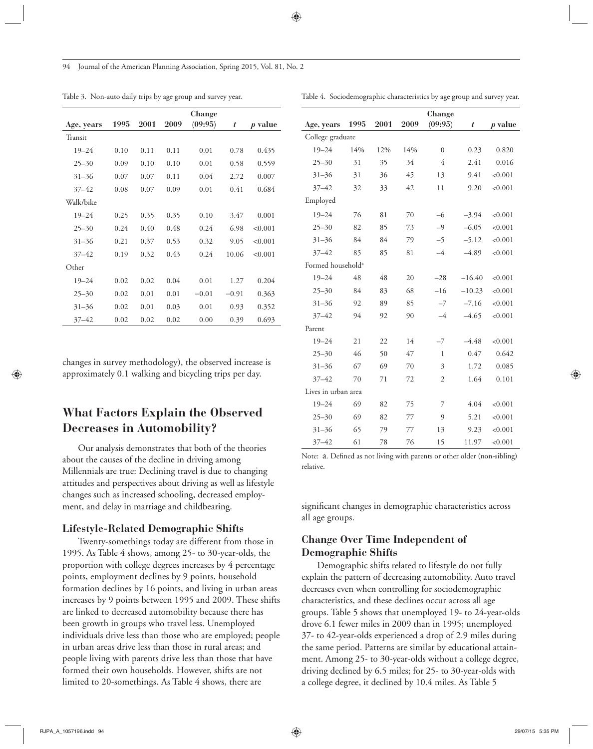|            |      |      |      | Change  |         |                |
|------------|------|------|------|---------|---------|----------------|
| Age, years | 1995 | 2001 | 2009 | (09:95) | t       | <i>p</i> value |
| Transit    |      |      |      |         |         |                |
| $19 - 24$  | 0.10 | 0.11 | 0.11 | 0.01    | 0.78    | 0.435          |
| $25 - 30$  | 0.09 | 0.10 | 0.10 | 0.01    | 0.58    | 0.559          |
| $31 - 36$  | 0.07 | 0.07 | 0.11 | 0.04    | 2.72    | 0.007          |
| $37 - 42$  | 0.08 | 0.07 | 0.09 | 0.01    | 0.41    | 0.684          |
| Walk/bike  |      |      |      |         |         |                |
| $19 - 24$  | 0.25 | 0.35 | 0.35 | 0.10    | 3.47    | 0.001          |
| $25 - 30$  | 0.24 | 0.40 | 0.48 | 0.24    | 6.98    | < 0.001        |
| $31 - 36$  | 0.21 | 0.37 | 0.53 | 0.32    | 9.05    | < 0.001        |
| $37 - 42$  | 0.19 | 0.32 | 0.43 | 0.24    | 10.06   | < 0.001        |
| Other      |      |      |      |         |         |                |
| $19 - 24$  | 0.02 | 0.02 | 0.04 | 0.01    | 1.27    | 0.204          |
| $25 - 30$  | 0.02 | 0.01 | 0.01 | $-0.01$ | $-0.91$ | 0.363          |
| $31 - 36$  | 0.02 | 0.01 | 0.03 | 0.01    | 0.93    | 0.352          |
| $37 - 42$  | 0.02 | 0.02 | 0.02 | 0.00    | 0.39    | 0.693          |

Table 3. Non-auto daily trips by age group and survey year.

changes in survey methodology), the observed increase is approximately 0.1 walking and bicycling trips per day.

## **What Factors Explain the Observed Decreases in Automobility?**

Our analysis demonstrates that both of the theories about the causes of the decline in driving among Millennials are true: Declining travel is due to changing attitudes and perspectives about driving as well as lifestyle changes such as increased schooling, decreased employment, and delay in marriage and childbearing.

#### **Lifestyle-Related Demographic Shifts**

Twenty-somethings today are different from those in 1995. As Table 4 shows, among 25- to 30-year-olds, the proportion with college degrees increases by 4 percentage points, employment declines by 9 points, household formation declines by 16 points, and living in urban areas increases by 9 points between 1995 and 2009. These shifts are linked to decreased automobility because there has been growth in groups who travel less. Unemployed individuals drive less than those who are employed; people in urban areas drive less than those in rural areas; and people living with parents drive less than those that have formed their own households. However, shifts are not limited to 20-somethings. As Table 4 shows, there are

|                               |      |      |      | Change         |                  |           |  |
|-------------------------------|------|------|------|----------------|------------------|-----------|--|
| Age, years                    | 1995 | 2001 | 2009 | (09:95)        | $\boldsymbol{t}$ | $p$ value |  |
| College graduate              |      |      |      |                |                  |           |  |
| $19 - 24$                     | 14%  | 12%  | 14%  | $\theta$       | 0.23             | 0.820     |  |
| $25 - 30$                     | 31   | 35   | 34   | 4              | 2.41             | 0.016     |  |
| $31 - 36$                     | 31   | 36   | 45   | 13             | 9.41             | < 0.001   |  |
| $37 - 42$                     | 32   | 33   | 42   | 11             | 9.20             | < 0.001   |  |
| Employed                      |      |      |      |                |                  |           |  |
| $19 - 24$                     | 76   | 81   | 70   | $-6$           | $-3.94$          | < 0.001   |  |
| $25 - 30$                     | 82   | 85   | 73   | $-9$           | $-6.05$          | < 0.001   |  |
| $31 - 36$                     | 84   | 84   | 79   | $-5$           | $-5.12$          | < 0.001   |  |
| $37 - 42$                     | 85   | 85   | 81   | $-4$           | $-4.89$          | < 0.001   |  |
| Formed household <sup>a</sup> |      |      |      |                |                  |           |  |
| $19 - 24$                     | 48   | 48   | 20   | $-28$          | $-16.40$         | < 0.001   |  |
| $25 - 30$                     | 84   | 83   | 68   | $-16$          | $-10.23$         | < 0.001   |  |
| $31 - 36$                     | 92   | 89   | 85   | $-7$           | $-7.16$          | < 0.001   |  |
| $37 - 42$                     | 94   | 92   | 90   | $-4$           | $-4.65$          | < 0.001   |  |
| Parent                        |      |      |      |                |                  |           |  |
| $19 - 24$                     | 21   | 22   | 14   | $-7$           | $-4.48$          | < 0.001   |  |
| $25 - 30$                     | 46   | 50   | 47   | $\mathbf{1}$   | 0.47             | 0.642     |  |
| $31 - 36$                     | 67   | 69   | 70   | 3              | 1.72             | 0.085     |  |
| $37 - 42$                     | 70   | 71   | 72   | $\overline{2}$ | 1.64             | 0.101     |  |
| Lives in urban area           |      |      |      |                |                  |           |  |
| $19 - 24$                     | 69   | 82   | 75   | 7              | 4.04             | < 0.001   |  |
| $25 - 30$                     | 69   | 82   | 77   | 9              | 5.21             | < 0.001   |  |
| $31 - 36$                     | 65   | 79   | 77   | 13             | 9.23             | < 0.001   |  |
| $37 - 42$                     | 61   | 78   | 76   | 15             | 11.97            | < 0.001   |  |

Table 4. Sociodemographic characteristics by age group and survey year.

Note: a. Defined as not living with parents or other older (non-sibling) relative.

significant changes in demographic characteristics across all age groups.

#### **Change Over Time Independent of Demographic Shifts**

Demographic shifts related to lifestyle do not fully explain the pattern of decreasing automobility. Auto travel decreases even when controlling for sociodemographic characteristics, and these declines occur across all age groups. Table 5 shows that unemployed 19- to 24-year-olds drove 6.1 fewer miles in 2009 than in 1995; unemployed 37- to 42-year-olds experienced a drop of 2.9 miles during the same period. Patterns are similar by educational attainment. Among 25- to 30-year-olds without a college degree, driving declined by 6.5 miles; for 25- to 30-year-olds with a college degree, it declined by 10.4 miles. As Table 5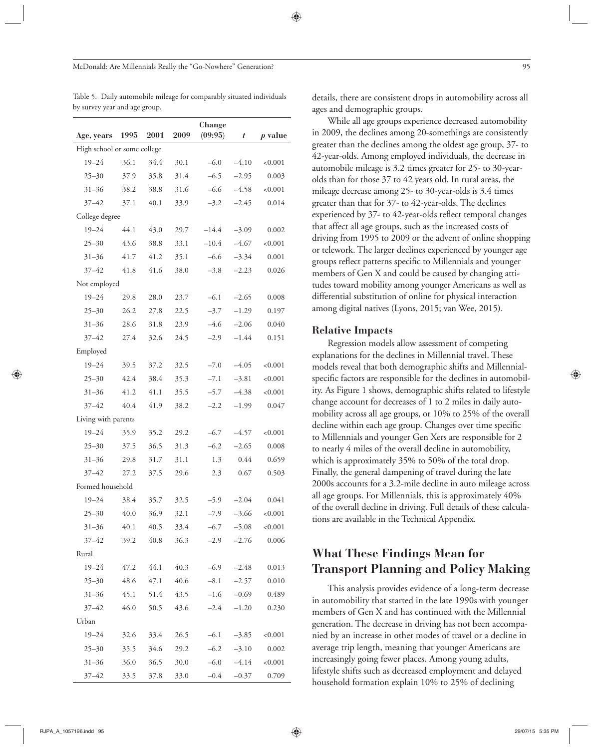Table 5. Daily automobile mileage for comparably situated individuals by survey year and age group.

|                             |      |      |      | Change  |         |         |
|-----------------------------|------|------|------|---------|---------|---------|
| Age, years                  | 1995 | 2001 | 2009 | (09:95) | t       | p value |
| High school or some college |      |      |      |         |         |         |
| $19 - 24$                   | 36.1 | 34.4 | 30.1 | $-6.0$  | $-4.10$ | < 0.001 |
| $25 - 30$                   | 37.9 | 35.8 | 31.4 | $-6.5$  | $-2.95$ | 0.003   |
| $31 - 36$                   | 38.2 | 38.8 | 31.6 | $-6.6$  | $-4.58$ | < 0.001 |
| $37 - 42$                   | 37.1 | 40.1 | 33.9 | $-3.2$  | $-2.45$ | 0.014   |
| College degree              |      |      |      |         |         |         |
| $19 - 24$                   | 44.1 | 43.0 | 29.7 | $-14.4$ | $-3.09$ | 0.002   |
| $25 - 30$                   | 43.6 | 38.8 | 33.1 | $-10.4$ | $-4.67$ | < 0.001 |
| $31 - 36$                   | 41.7 | 41.2 | 35.1 | $-6.6$  | $-3.34$ | 0.001   |
| $37 - 42$                   | 41.8 | 41.6 | 38.0 | $-3.8$  | $-2.23$ | 0.026   |
| Not employed                |      |      |      |         |         |         |
| $19 - 24$                   | 29.8 | 28.0 | 23.7 | $-6.1$  | $-2.65$ | 0.008   |
| $25 - 30$                   | 26.2 | 27.8 | 22.5 | $-3.7$  | $-1.29$ | 0.197   |
| $31 - 36$                   | 28.6 | 31.8 | 23.9 | $-4.6$  | $-2.06$ | 0.040   |
| $37 - 42$                   | 27.4 | 32.6 | 24.5 | $-2.9$  | $-1.44$ | 0.151   |
| Employed                    |      |      |      |         |         |         |
| $19 - 24$                   | 39.5 | 37.2 | 32.5 | $-7.0$  | $-4.05$ | < 0.001 |
| $25 - 30$                   | 42.4 | 38.4 | 35.3 | $-7.1$  | $-3.81$ | < 0.001 |
| $31 - 36$                   | 41.2 | 41.1 | 35.5 | $-5.7$  | $-4.38$ | < 0.001 |
| $37 - 42$                   | 40.4 | 41.9 | 38.2 | $-2.2$  | $-1.99$ | 0.047   |
| Living with parents         |      |      |      |         |         |         |
| $19 - 24$                   | 35.9 | 35.2 | 29.2 | $-6.7$  | $-4.57$ | < 0.001 |
| $25 - 30$                   | 37.5 | 36.5 | 31.3 | $-6.2$  | $-2.65$ | 0.008   |
| $31 - 36$                   | 29.8 | 31.7 | 31.1 | 1.3     | 0.44    | 0.659   |
| $37 - 42$                   | 27.2 | 37.5 | 29.6 | 2.3     | 0.67    | 0.503   |
| Formed household            |      |      |      |         |         |         |
| $19 - 24$                   | 38.4 | 35.7 | 32.5 | $-5.9$  | $-2.04$ | 0.041   |
| $25 - 30$                   | 40.0 | 36.9 | 32.1 | $-7.9$  | $-3.66$ | < 0.001 |
| $31 - 36$                   | 40.1 | 40.5 | 33.4 | $-6.7$  | $-5.08$ | < 0.001 |
| $37 - 42$                   | 39.2 | 40.8 | 36.3 | $-2.9$  | $-2.76$ | 0.006   |
| Rural                       |      |      |      |         |         |         |
| $19 - 24$                   | 47.2 | 44.1 | 40.3 | $-6.9$  | $-2.48$ | 0.013   |
| $25 - 30$                   | 48.6 | 47.1 | 40.6 | $-8.1$  | $-2.57$ | 0.010   |
| $31 - 36$                   | 45.1 | 51.4 | 43.5 | $-1.6$  | $-0.69$ | 0.489   |
| $37 - 42$                   | 46.0 | 50.5 | 43.6 | $-2.4$  | $-1.20$ | 0.230   |
| Urban                       |      |      |      |         |         |         |
| $19 - 24$                   | 32.6 | 33.4 | 26.5 | $-6.1$  | $-3.85$ | < 0.001 |
| $25 - 30$                   | 35.5 | 34.6 | 29.2 | $-6.2$  | $-3.10$ | 0.002   |
| $31 - 36$                   | 36.0 | 36.5 | 30.0 | $-6.0$  | $-4.14$ | < 0.001 |
| $37 - 42$                   | 33.5 | 37.8 | 33.0 | $-0.4$  | $-0.37$ | 0.709   |

details, there are consistent drops in automobility across all ages and demographic groups.

While all age groups experience decreased automobility in 2009, the declines among 20-somethings are consistently greater than the declines among the oldest age group, 37- to 42-year-olds. Among employed individuals, the decrease in automobile mileage is 3.2 times greater for 25- to 30-yearolds than for those 37 to 42 years old. In rural areas, the mileage decrease among 25- to 30-year-olds is 3.4 times greater than that for 37- to 42-year-olds. The declines experienced by 37- to 42-year-olds reflect temporal changes that affect all age groups, such as the increased costs of driving from 1995 to 2009 or the advent of online shopping or telework. The larger declines experienced by younger age groups reflect patterns specific to Millennials and younger members of Gen X and could be caused by changing attitudes toward mobility among younger Americans as well as differential substitution of online for physical interaction among digital natives (Lyons, 2015; van Wee, 2015).

#### **Relative Impacts**

Regression models allow assessment of competing explanations for the declines in Millennial travel. These models reveal that both demographic shifts and Millennialspecific factors are responsible for the declines in automobility. As Figure 1 shows, demographic shifts related to lifestyle change account for decreases of 1 to 2 miles in daily automobility across all age groups, or 10% to 25% of the overall decline within each age group. Changes over time specific to Millennials and younger Gen Xers are responsible for 2 to nearly 4 miles of the overall decline in automobility, which is approximately 35% to 50% of the total drop. Finally, the general dampening of travel during the late 2000s accounts for a 3.2-mile decline in auto mileage across all age groups. For Millennials, this is approximately 40% of the overall decline in driving. Full details of these calculations are available in the Technical Appendix.

## **What These Findings Mean for Transport Planning and Policy Making**

This analysis provides evidence of a long-term decrease in automobility that started in the late 1990s with younger members of Gen X and has continued with the Millennial generation. The decrease in driving has not been accompanied by an increase in other modes of travel or a decline in average trip length, meaning that younger Americans are increasingly going fewer places. Among young adults, lifestyle shifts such as decreased employment and delayed household formation explain 10% to 25% of declining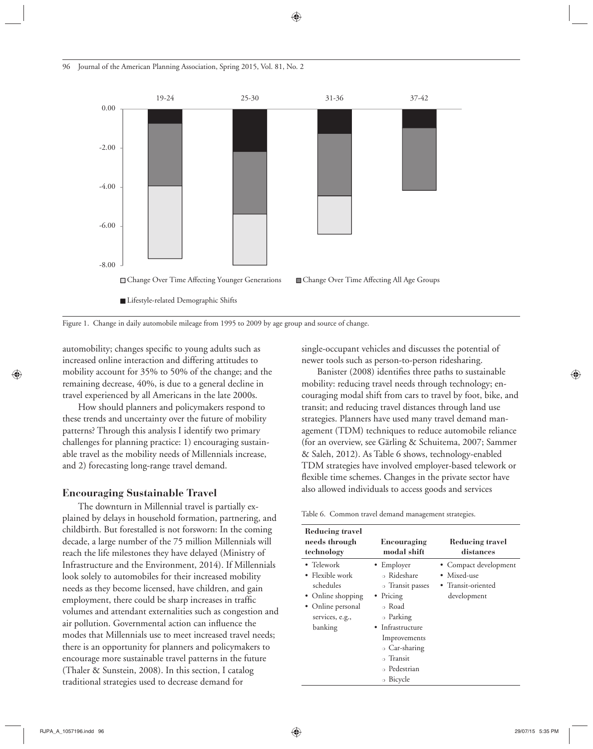



automobility; changes specific to young adults such as increased online interaction and differing attitudes to mobility account for 35% to 50% of the change; and the remaining decrease, 40%, is due to a general decline in travel experienced by all Americans in the late 2000s.

How should planners and policymakers respond to these trends and uncertainty over the future of mobility patterns? Through this analysis I identify two primary challenges for planning practice: 1) encouraging sustainable travel as the mobility needs of Millennials increase, and 2) forecasting long-range travel demand.

#### **Encouraging Sustainable Travel**

The downturn in Millennial travel is partially explained by delays in household formation, partnering, and childbirth. But forestalled is not forsworn: In the coming decade, a large number of the 75 million Millennials will reach the life milestones they have delayed (Ministry of Infrastructure and the Environment, 2014). If Millennials look solely to automobiles for their increased mobility needs as they become licensed, have children, and gain employment, there could be sharp increases in traffic volumes and attendant externalities such as congestion and air pollution. Governmental action can influence the modes that Millennials use to meet increased travel needs; there is an opportunity for planners and policymakers to encourage more sustainable travel patterns in the future (Thaler & Sunstein, 2008). In this section, I catalog traditional strategies used to decrease demand for

single-occupant vehicles and discusses the potential of newer tools such as person-to-person ridesharing.

Banister (2008) identifies three paths to sustainable mobility: reducing travel needs through technology; encouraging modal shift from cars to travel by foot, bike, and transit; and reducing travel distances through land use strategies. Planners have used many travel demand management (TDM) techniques to reduce automobile reliance (for an overview, see Gärling & Schuitema, 2007; Sammer & Saleh, 2012). As Table 6 shows, technology-enabled TDM strategies have involved employer-based telework or flexible time schemes. Changes in the private sector have also allowed individuals to access goods and services

Table 6. Common travel demand management strategies.

| Reducing travel<br>needs through<br>technology                                                                                     | Encouraging<br>modal shift                                                                                                                                                                           | Reducing travel<br>distances                                              |
|------------------------------------------------------------------------------------------------------------------------------------|------------------------------------------------------------------------------------------------------------------------------------------------------------------------------------------------------|---------------------------------------------------------------------------|
| $\bullet$ Telework<br>$\bullet$ Flexible work<br>schedules<br>• Online shopping<br>• Online personal<br>services, e.g.,<br>banking | $\bullet$ Employer<br>$\circ$ Rideshare<br>o Transit passes<br>• Pricing<br>○ Road<br>○ Parking<br>• Infrastructure<br>Improvements<br>$\circ$ Car-sharing<br>o Transit<br>○ Pedestrian<br>○ Bicycle | • Compact development<br>• Mixed-use<br>• Transit-oriented<br>development |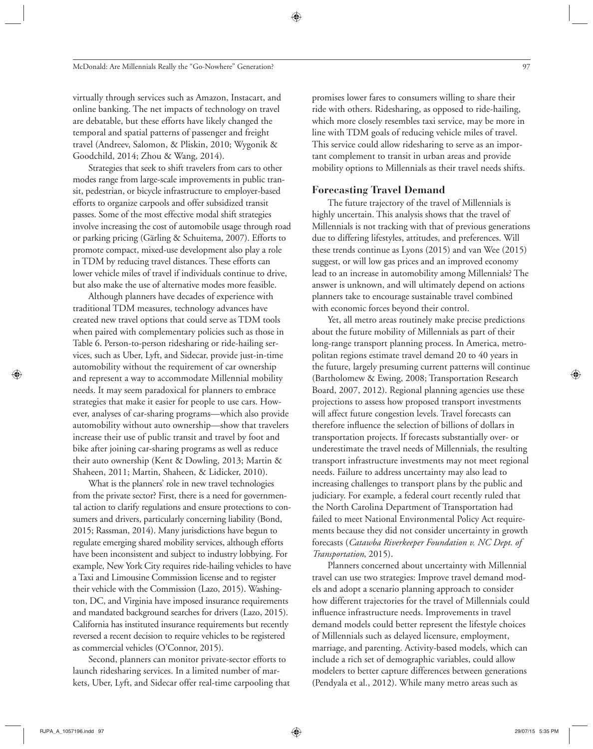virtually through services such as Amazon, Instacart, and online banking. The net impacts of technology on travel are debatable, but these efforts have likely changed the temporal and spatial patterns of passenger and freight travel (Andreev, Salomon, & Pliskin, 2010; Wygonik & Goodchild, 2014; Zhou & Wang, 2014).

Strategies that seek to shift travelers from cars to other modes range from large-scale improvements in public transit, pedestrian, or bicycle infrastructure to employer-based efforts to organize carpools and offer subsidized transit passes. Some of the most effective modal shift strategies involve increasing the cost of automobile usage through road or parking pricing (Gärling & Schuitema, 2007). Efforts to promote compact, mixed-use development also play a role in TDM by reducing travel distances. These efforts can lower vehicle miles of travel if individuals continue to drive, but also make the use of alternative modes more feasible.

Although planners have decades of experience with traditional TDM measures, technology advances have created new travel options that could serve as TDM tools when paired with complementary policies such as those in Table 6. Person-to-person ridesharing or ride-hailing services, such as Uber, Lyft, and Sidecar, provide just-in-time automobility without the requirement of car ownership and represent a way to accommodate Millennial mobility needs. It may seem paradoxical for planners to embrace strategies that make it easier for people to use cars. However, analyses of car-sharing programs—which also provide automobility without auto ownership—show that travelers increase their use of public transit and travel by foot and bike after joining car-sharing programs as well as reduce their auto ownership (Kent & Dowling, 2013; Martin & Shaheen, 2011; Martin, Shaheen, & Lidicker, 2010).

What is the planners' role in new travel technologies from the private sector? First, there is a need for governmental action to clarify regulations and ensure protections to consumers and drivers, particularly concerning liability (Bond, 2015; Rassman, 2014). Many jurisdictions have begun to regulate emerging shared mobility services, although efforts have been inconsistent and subject to industry lobbying. For example, New York City requires ride-hailing vehicles to have a Taxi and Limousine Commission license and to register their vehicle with the Commission (Lazo, 2015). Washington, DC, and Virginia have imposed insurance requirements and mandated background searches for drivers (Lazo, 2015). California has instituted insurance requirements but recently reversed a recent decision to require vehicles to be registered as commercial vehicles (O'Connor, 2015).

Second, planners can monitor private-sector efforts to launch ridesharing services. In a limited number of markets, Uber, Lyft, and Sidecar offer real-time carpooling that promises lower fares to consumers willing to share their ride with others. Ridesharing, as opposed to ride-hailing, which more closely resembles taxi service, may be more in line with TDM goals of reducing vehicle miles of travel. This service could allow ridesharing to serve as an important complement to transit in urban areas and provide mobility options to Millennials as their travel needs shifts.

#### **Forecasting Travel Demand**

The future trajectory of the travel of Millennials is highly uncertain. This analysis shows that the travel of Millennials is not tracking with that of previous generations due to differing lifestyles, attitudes, and preferences. Will these trends continue as Lyons (2015) and van Wee (2015) suggest, or will low gas prices and an improved economy lead to an increase in automobility among Millennials? The answer is unknown, and will ultimately depend on actions planners take to encourage sustainable travel combined with economic forces beyond their control.

Yet, all metro areas routinely make precise predictions about the future mobility of Millennials as part of their long-range transport planning process. In America, metropolitan regions estimate travel demand 20 to 40 years in the future, largely presuming current patterns will continue (Bartholomew & Ewing, 2008; Transportation Research Board, 2007, 2012). Regional planning agencies use these projections to assess how proposed transport investments will affect future congestion levels. Travel forecasts can therefore influence the selection of billions of dollars in transportation projects. If forecasts substantially over- or underestimate the travel needs of Millennials, the resulting transport infrastructure investments may not meet regional needs. Failure to address uncertainty may also lead to increasing challenges to transport plans by the public and judiciary. For example, a federal court recently ruled that the North Carolina Department of Transportation had failed to meet National Environmental Policy Act requirements because they did not consider uncertainty in growth forecasts (*Catawba Riverkeeper Foundation v. NC Dept. of Transportation*, 2015).

Planners concerned about uncertainty with Millennial travel can use two strategies: Improve travel demand models and adopt a scenario planning approach to consider how different trajectories for the travel of Millennials could influence infrastructure needs. Improvements in travel demand models could better represent the lifestyle choices of Millennials such as delayed licensure, employment, marriage, and parenting. Activity-based models, which can include a rich set of demographic variables, could allow modelers to better capture differences between generations (Pendyala et al., 2012). While many metro areas such as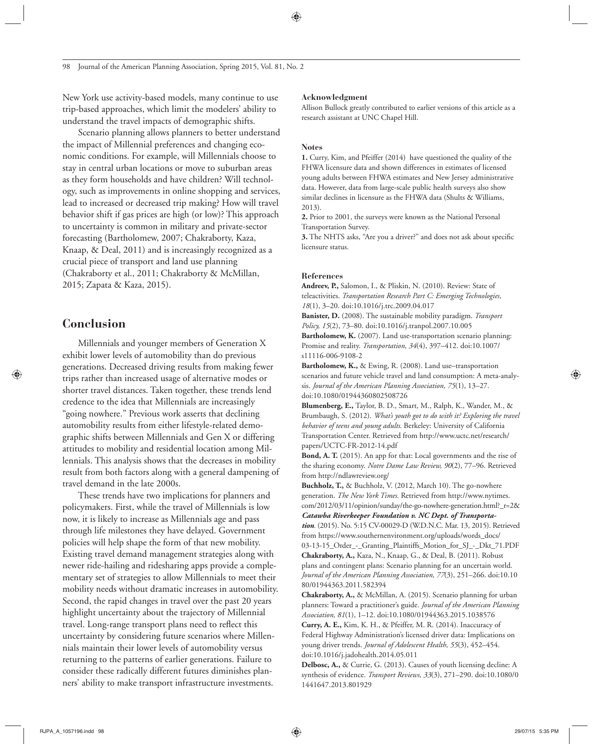New York use activity-based models, many continue to use trip-based approaches, which limit the modelers' ability to understand the travel impacts of demographic shifts.

Scenario planning allows planners to better understand the impact of Millennial preferences and changing economic conditions. For example, will Millennials choose to stay in central urban locations or move to suburban areas as they form households and have children? Will technology, such as improvements in online shopping and services, lead to increased or decreased trip making? How will travel behavior shift if gas prices are high (or low)? This approach to uncertainty is common in military and private-sector forecasting (Bartholomew, 2007; Chakraborty, Kaza, Knaap, & Deal, 2011) and is increasingly recognized as a crucial piece of transport and land use planning (Chakraborty et al., 2011; Chakraborty & McMillan, 2015; Zapata & Kaza, 2015).

## **Conclusion**

Millennials and younger members of Generation X exhibit lower levels of automobility than do previous generations. Decreased driving results from making fewer trips rather than increased usage of alternative modes or shorter travel distances. Taken together, these trends lend credence to the idea that Millennials are increasingly "going nowhere." Previous work asserts that declining automobility results from either lifestyle-related demographic shifts between Millennials and Gen X or differing attitudes to mobility and residential location among Millennials. This analysis shows that the decreases in mobility result from both factors along with a general dampening of travel demand in the late 2000s.

These trends have two implications for planners and policymakers. First, while the travel of Millennials is low now, it is likely to increase as Millennials age and pass through life milestones they have delayed. Government policies will help shape the form of that new mobility. Existing travel demand management strategies along with newer ride-hailing and ridesharing apps provide a complementary set of strategies to allow Millennials to meet their mobility needs without dramatic increases in automobility. Second, the rapid changes in travel over the past 20 years highlight uncertainty about the trajectory of Millennial travel. Long-range transport plans need to reflect this uncertainty by considering future scenarios where Millennials maintain their lower levels of automobility versus returning to the patterns of earlier generations. Failure to consider these radically different futures diminishes planners' ability to make transport infrastructure investments.

#### **Acknowledgment**

Allison Bullock greatly contributed to earlier versions of this article as a research assistant at UNC Chapel Hill.

#### **Notes**

**1.** Curry, Kim, and Pfeiffer (2014) have questioned the quality of the FHWA licensure data and shown differences in estimates of licensed young adults between FHWA estimates and New Jersey administrative data. However, data from large-scale public health surveys also show similar declines in licensure as the FHWA data (Shults & Williams, 2013).

**2.** Prior to 2001, the surveys were known as the National Personal Transportation Survey.

**3.** The NHTS asks, "Are you a driver?" and does not ask about specific licensure status.

#### **References**

**Andreev, P.,** Salomon, I., & Pliskin, N. (2010). Review: State of teleactivities. *Transportation Research Part C: Emerging Technologies, 18*(1), 3–20. doi:10.1016/j.trc.2009.04.017

**Banister, D.** (2008). The sustainable mobility paradigm. *Transport Policy, 15*(2), 73–80. doi:10.1016/j.tranpol.2007.10.005

Bartholomew, K. (2007). Land use-transportation scenario planning: Promise and reality. *Transportation, 34*(4), 397–412. doi:10.1007/ s11116-006-9108-2

**Bartholomew, K.,** & Ewing, R. (2008). Land use–transportation scenarios and future vehicle travel and land consumption: A meta-analysis. *Journal of the American Planning Association, 75*(1), 13–27. doi:10.1080/01944360802508726

**Blumenberg, E.,** Taylor, B. D., Smart, M., Ralph, K., Wander, M., & Brumbaugh, S. (2012). *What's youth got to do with it? Exploring the travel behavior of teens and young adults*. Berkeley: University of California Transportation Center. Retrieved from http://www.uctc.net/research/ papers/UCTC-FR-2012-14.pdf

**Bond, A. T.** (2015). An app for that: Local governments and the rise of the sharing economy. *Notre Dame Law Review, 90*(2), 77–96. Retrieved from http://ndlawreview.org/

**Buchholz, T.,** & Buchholz, V. (2012, March 10). The go-nowhere generation. *The New York Times.* Retrieved from http://www.nytimes. com/2012/03/11/opinion/sunday/the-go-nowhere-generation.html?\_r=2&

*Catawba Riverkeeper Foundation v. NC Dept. of Transportation.* (2015). No. 5:15 CV-00029-D (W.D.N.C. Mar. 13, 2015). Retrieved from https://www.southernenvironment.org/uploads/words\_docs/ 03-13-15\_Order\_-\_Granting\_Plaintiffs\_Motion\_for\_SJ\_-\_Dkt\_71.PDF **Chakraborty, A.,** Kaza, N., Knaap, G., & Deal, B. (2011). Robust plans and contingent plans: Scenario planning for an uncertain world. *Journal of the American Planning Association, 77*(3), 251–266. doi:10.10 80/01944363.2011.582394

**Chakraborty, A.,** & McMillan, A. (2015). Scenario planning for urban planners: Toward a practitioner's guide. *Journal of the American Planning Association, 81*(1), 1–12. doi:10.1080/01944363.2015.1038576

**Curry, A. E.,** Kim, K. H., & Pfeiffer, M. R. (2014). Inaccuracy of Federal Highway Administration's licensed driver data: Implications on young driver trends. *Journal of Adolescent Health, 55*(3), 452–454. doi:10.1016/j.jadohealth.2014.05.011

**Delbosc, A.,** & Currie, G. (2013). Causes of youth licensing decline: A synthesis of evidence. *Transport Reviews, 33*(3), 271–290. doi:10.1080/0 1441647.2013.801929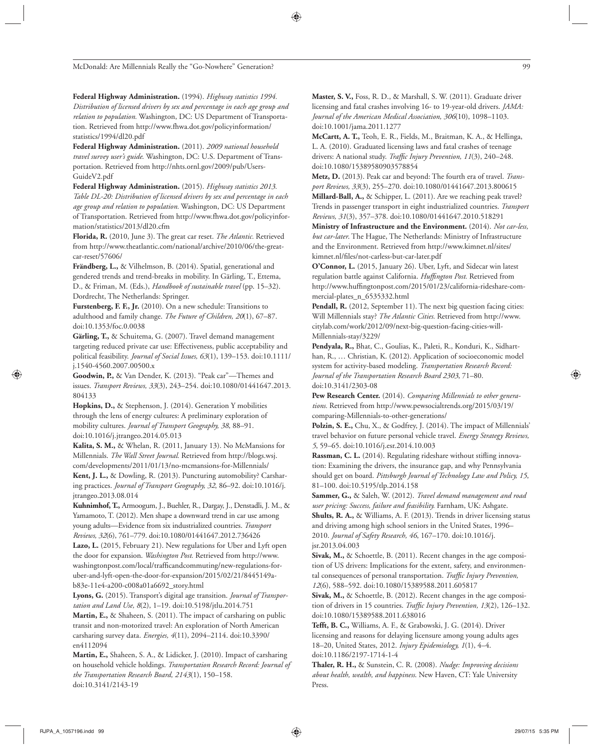**Federal Highway Administration.** (1994). *Highway statistics 1994. Distribution of licensed drivers by sex and percentage in each age group and relation to population.* Washington, DC: US Department of Transportation. Retrieved from http://www.fhwa.dot.gov/policyinformation/ statistics/1994/dl20.pdf

**Federal Highway Administration.** (2011). *2009 national household travel survey user's guide*. Washington, DC: U.S. Department of Transportation. Retrieved from http://nhts.ornl.gov/2009/pub/Users-GuideV2.pdf

**Federal Highway Administration.** (2015). *Highway statistics 2013. Table DL-20: Distribution of licensed drivers by sex and percentage in each age group and relation to population.* Washington, DC: US Department of Transportation. Retrieved from http://www.fhwa.dot.gov/policyinformation/statistics/2013/dl20.cfm

**Florida, R.** (2010, June 3). The great car reset. *The Atlantic.* Retrieved from http://www.theatlantic.com/national/archive/2010/06/the-greatcar-reset/57606/

**Frändberg, L.,** & Vilhelmson, B. (2014). Spatial, generational and gendered trends and trend-breaks in mobility. In Gärling, T., Ettema, D., & Friman, M. (Eds.), *Handbook of sustainable travel* (pp. 15–32). Dordrecht, The Netherlands: Springer.

**Furstenberg, F. F., Jr.** (2010). On a new schedule: Transitions to adulthood and family change. *The Future of Children, 20*(1), 67–87. doi:10.1353/foc.0.0038

**Gärling, T.,** & Schuitema, G. (2007). Travel demand management targeting reduced private car use: Effectiveness, public acceptability and political feasibility. *Journal of Social Issues, 63*(1), 139–153. doi:10.1111/ j.1540-4560.2007.00500.x

**Goodwin, P.,** & Van Dender, K. (2013). "Peak car"—Themes and issues. *Transport Reviews, 33*(3), 243–254. doi:10.1080/01441647.2013. 804133

**Hopkins, D.,** & Stephenson, J. (2014). Generation Y mobilities through the lens of energy cultures: A preliminary exploration of mobility cultures. *Journal of Transport Geography, 38*, 88–91. doi:10.1016/j.jtrangeo.2014.05.013

**Kalita, S. M.,** & Whelan, R. (2011, January 13). No McMansions for Millennials. *The Wall Street Journal.* Retrieved from http://blogs.wsj. com/developments/2011/01/13/no-mcmansions-for-Millennials/

**Kent, J. L.,** & Dowling, R. (2013). Puncturing automobility? Carsharing practices. *Journal of Transport Geography, 32*, 86–92. doi:10.1016/j. jtrangeo.2013.08.014

**Kuhnimhof, T.,** Armoogum, J., Buehler, R., Dargay, J., Denstadli, J. M., & Yamamoto, T. (2012). Men shape a downward trend in car use among young adults—Evidence from six industrialized countries. *Transport Reviews, 32*(6), 761–779. doi:10.1080/01441647.2012.736426

Lazo, L. (2015, February 21). New regulations for Uber and Lyft open the door for expansion. *Washington Post.* Retrieved from http://www. washingtonpost.com/local/trafficandcommuting/new-regulations-foruber-and-lyft-open-the-door-for-expansion/2015/02/21/8445149ab83e-11e4-a200-c008a01a6692\_story.html

**Lyons, G.** (2015). Transport's digital age transition. *Journal of Transportation and Land Use, 8*(2), 1–19. doi:10.5198/jtlu.2014.751

**Martin, E.,** & Shaheen, S. (2011). The impact of carsharing on public transit and non-motorized travel: An exploration of North American carsharing survey data. *Energies, 4*(11), 2094–2114. doi:10.3390/ en4112094

**Martin, E.,** Shaheen, S. A., & Lidicker, J. (2010). Impact of carsharing on household vehicle holdings. *Transportation Research Record: Journal of the Transportation Research Board, 2143*(1), 150–158. doi:10.3141/2143-19

**Master, S. V.,** Foss, R. D., & Marshall, S. W. (2011). Graduate driver licensing and fatal crashes involving 16- to 19-year-old drivers. *JAMA: Journal of the American Medical Association, 306*(10), 1098–1103. doi:10.1001/jama.2011.1277

**McCartt, A. T.,** Teoh, E. R., Fields, M., Braitman, K. A., & Hellinga, L. A. (2010). Graduated licensing laws and fatal crashes of teenage drivers: A national study. Traffic Injury Prevention, 11(3), 240–248. doi:10.1080/15389580903578854

**Metz, D.** (2013). Peak car and beyond: The fourth era of travel. *Transport Reviews, 33*(3), 255–270. doi:10.1080/01441647.2013.800615 **Millard-Ball, A.,** & Schipper, L. (2011). Are we reaching peak travel? Trends in passenger transport in eight industrialized countries. *Transport Reviews, 31*(3), 357–378. doi:10.1080/01441647.2010.518291

**Ministry of Infrastructure and the Environment.** (2014). *Not car-less, but car-later*. The Hague, The Netherlands: Ministry of Infrastructure and the Environment. Retrieved from http://www.kimnet.nl/sites/ kimnet.nl/files/not-carless-but-car-later.pdf

**O'Connor, L.** (2015, January 26). Uber, Lyft, and Sidecar win latest regulation battle against California. Huffington Post. Retrieved from http://www.huffingtonpost.com/2015/01/23/california-rideshare-commercial-plates\_n\_6535332.html

Pendall, R. (2012, September 11). The next big question facing cities: Will Millennials stay? *The Atlantic Cities.* Retrieved from http://www. citylab.com/work/2012/09/next-big-question-facing-cities-will-Millennials-stay/3229/

**Pendyala, R.,** Bhat, C., Goulias, K., Paleti, R., Konduri, K., Sidharthan, R., … Christian, K. (2012). Application of socioeconomic model system for activity-based modeling. *Transportation Research Record: Journal of the Transportation Research Board 2303*, 71–80. doi:10.3141/2303-08

Pew Research Center. (2014). *Comparing Millennials to other generations.* Retrieved from http://www.pewsocialtrends.org/2015/03/19/ comparing-Millennials-to-other-generations/

**Polzin, S. E.,** Chu, X., & Godfrey, J. (2014). The impact of Millennials' travel behavior on future personal vehicle travel. *Energy Strategy Reviews, 5*, 59–65. doi:10.1016/j.esr.2014.10.003

Rassman, C. L. (2014). Regulating rideshare without stifling innovation: Examining the drivers, the insurance gap, and why Pennsylvania should get on board. *Pittsburgh Journal of Technology Law and Policy, 15*, 81–100. doi:10.5195/tlp.2014.158

**Sammer, G.,** & Saleh, W. (2012). *Travel demand management and road user pricing: Success, failure and feasibility.* Farnham, UK: Ashgate.

**Shults, R. A.,** & Williams, A. F. (2013). Trends in driver licensing status and driving among high school seniors in the United States, 1996– 2010. *Journal of Safety Research, 46*, 167–170. doi:10.1016/j. jsr.2013.04.003

**Sivak, M.,** & Schoettle, B. (2011). Recent changes in the age composition of US drivers: Implications for the extent, safety, and environmental consequences of personal transportation. Traffic Injury Prevention, *12*(6), 588–592. doi:10.1080/15389588.2011.605817

**Sivak, M.,** & Schoettle, B. (2012). Recent changes in the age composition of drivers in 15 countries. *Traffic Injury Prevention*, 13(2), 126–132. doi:10.1080/15389588.2011.638016

**Tefft, B. C.,** Williams, A. F., & Grabowski, J. G. (2014). Driver licensing and reasons for delaying licensure among young adults ages 18–20, United States, 2012. *Injury Epidemiology, 1*(1), 4–4. doi:10.1186/2197-1714-1-4

**Thaler, R. H.,** & Sunstein, C. R. (2008). *Nudge: Improving decisions about health, wealth, and happiness*. New Haven, CT: Yale University Press.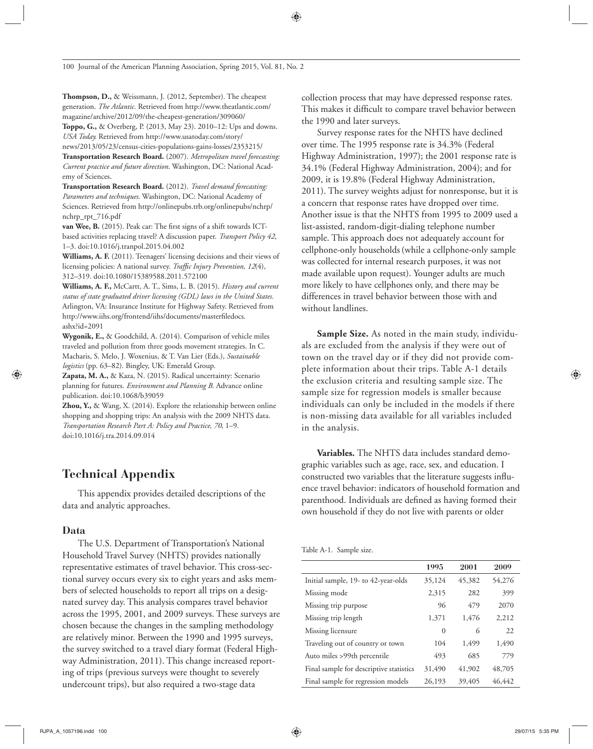**Thompson, D.,** & Weissmann, J. (2012, September). The cheapest generation. *The Atlantic.* Retrieved from http://www.theatlantic.com/ magazine/archive/2012/09/the-cheapest-generation/309060/

**Toppo, G.,** & Overberg, P. (2013, May 23). 2010–12: Ups and downs. *USA Today.* Retrieved from http://www.usatoday.com/story/ news/2013/05/23/census-cities-populations-gains-losses/2353215/

**Transportation Research Board.** (2007). *Metropolitan travel forecasting: Current practice and future direction*. Washington, DC: National Academy of Sciences.

**Transportation Research Board.** (2012). *Travel demand forecasting: Parameters and techniques*. Washington, DC: National Academy of Sciences. Retrieved from http://onlinepubs.trb.org/onlinepubs/nchrp/ nchrp\_rpt\_716.pdf

van Wee, B. (2015). Peak car: The first signs of a shift towards ICTbased activities replacing travel? A discussion paper. *Transport Policy 42*, 1–3. doi:10.1016/j.tranpol.2015.04.002

**Williams, A. F.** (2011). Teenagers' licensing decisions and their views of licensing policies: A national survey. Traffic Injury Prevention, 12(4), 312–319. doi:10.1080/15389588.2011.572100

**Williams, A. F.,** McCartt, A. T., Sims, L. B. (2015). *History and current status of state graduated driver licensing (GDL) laws in the United States.* Arlington, VA: Insurance Institute for Highway Safety. Retrieved from http://www.iihs.org/frontend/iihs/documents/masterfiledocs. ashx?id=2091

**Wygonik, E.,** & Goodchild, A. (2014). Comparison of vehicle miles traveled and pollution from three goods movement strategies. In C. Macharis, S. Melo, J. Woxenius, & T. Van Lier (Eds.), *Sustainable logistics* (pp. 63–82). Bingley, UK: Emerald Group.

**Zapata, M. A.,** & Kaza, N. (2015). Radical uncertainty: Scenario planning for futures. *Environment and Planning B.* Advance online publication. doi:10.1068/b39059

**Zhou, Y.,** & Wang, X. (2014). Explore the relationship between online shopping and shopping trips: An analysis with the 2009 NHTS data. *Transportation Research Part A: Policy and Practice, 70*, 1–9. doi:10.1016/j.tra.2014.09.014

## **Technical Appendix**

This appendix provides detailed descriptions of the data and analytic approaches.

#### **Data**

The U.S. Department of Transportation's National Household Travel Survey (NHTS) provides nationally representative estimates of travel behavior. This cross-sectional survey occurs every six to eight years and asks members of selected households to report all trips on a designated survey day. This analysis compares travel behavior across the 1995, 2001, and 2009 surveys. These surveys are chosen because the changes in the sampling methodology are relatively minor. Between the 1990 and 1995 surveys, the survey switched to a travel diary format (Federal Highway Administration, 2011). This change increased reporting of trips (previous surveys were thought to severely undercount trips), but also required a two-stage data

collection process that may have depressed response rates. This makes it difficult to compare travel behavior between the 1990 and later surveys.

Survey response rates for the NHTS have declined over time. The 1995 response rate is 34.3% (Federal Highway Administration, 1997); the 2001 response rate is 34.1% (Federal Highway Administration, 2004); and for 2009, it is 19.8% (Federal Highway Administration, 2011). The survey weights adjust for nonresponse, but it is a concern that response rates have dropped over time. Another issue is that the NHTS from 1995 to 2009 used a list-assisted, random-digit-dialing telephone number sample. This approach does not adequately account for cellphone-only households (while a cellphone-only sample was collected for internal research purposes, it was not made available upon request). Younger adults are much more likely to have cellphones only, and there may be differences in travel behavior between those with and without landlines.

**Sample Size.** As noted in the main study, individuals are excluded from the analysis if they were out of town on the travel day or if they did not provide complete information about their trips. Table A-1 details the exclusion criteria and resulting sample size. The sample size for regression models is smaller because individuals can only be included in the models if there is non-missing data available for all variables included in the analysis.

**Variables.** The NHTS data includes standard demographic variables such as age, race, sex, and education. I constructed two variables that the literature suggests influence travel behavior: indicators of household formation and parenthood. Individuals are defined as having formed their own household if they do not live with parents or older

#### Table A-1. Sample size.

|                                         | 1995         | 2001   | 2009   |
|-----------------------------------------|--------------|--------|--------|
| Initial sample, 19- to 42-year-olds     | 35,124       | 45,382 | 54,276 |
| Missing mode                            | 2,315        | 282    | 399    |
| Missing trip purpose                    | 96           | 479    | 2070   |
| Missing trip length                     | 1,371        | 1,476  | 2.212  |
| Missing licensure                       | $\mathbf{0}$ | 6      | 22     |
| Traveling out of country or town        | 104          | 1.499  | 1,490  |
| Auto miles >99th percentile             | 493          | 685    | 779    |
| Final sample for descriptive statistics | 31,490       | 41,902 | 48,705 |
| Final sample for regression models      | 26,193       | 39,405 | 46,442 |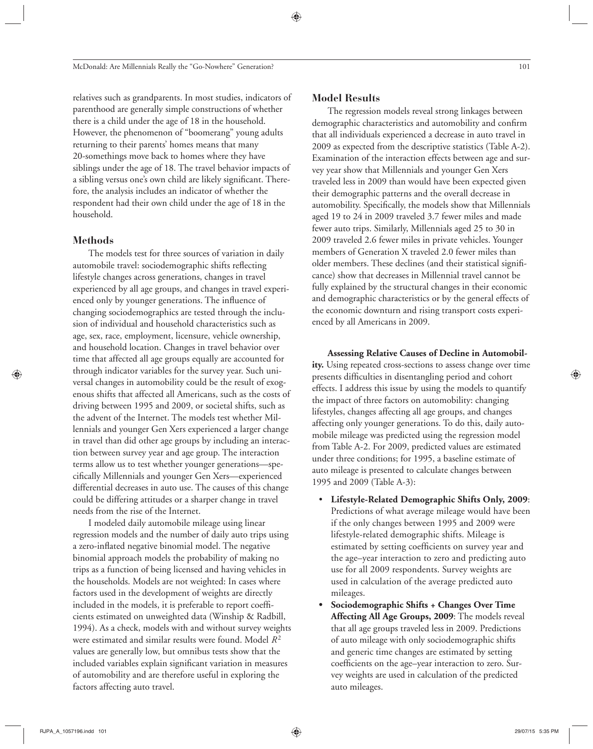relatives such as grandparents. In most studies, indicators of parenthood are generally simple constructions of whether there is a child under the age of 18 in the household. However, the phenomenon of "boomerang" young adults returning to their parents' homes means that many 20-somethings move back to homes where they have siblings under the age of 18. The travel behavior impacts of a sibling versus one's own child are likely significant. Therefore, the analysis includes an indicator of whether the respondent had their own child under the age of 18 in the household.

#### **Methods**

The models test for three sources of variation in daily automobile travel: sociodemographic shifts reflecting lifestyle changes across generations, changes in travel experienced by all age groups, and changes in travel experienced only by younger generations. The influence of changing sociodemographics are tested through the inclusion of individual and household characteristics such as age, sex, race, employment, licensure, vehicle ownership, and household location. Changes in travel behavior over time that affected all age groups equally are accounted for through indicator variables for the survey year. Such universal changes in automobility could be the result of exogenous shifts that affected all Americans, such as the costs of driving between 1995 and 2009, or societal shifts, such as the advent of the Internet. The models test whether Millennials and younger Gen Xers experienced a larger change in travel than did other age groups by including an interaction between survey year and age group. The interaction terms allow us to test whether younger generations—specifi cally Millennials and younger Gen Xers—experienced differential decreases in auto use. The causes of this change could be differing attitudes or a sharper change in travel needs from the rise of the Internet.

I modeled daily automobile mileage using linear regression models and the number of daily auto trips using a zero-inflated negative binomial model. The negative binomial approach models the probability of making no trips as a function of being licensed and having vehicles in the households. Models are not weighted: In cases where factors used in the development of weights are directly included in the models, it is preferable to report coefficients estimated on unweighted data (Winship & Radbill, 1994). As a check, models with and without survey weights were estimated and similar results were found. Model *R*<sup>2</sup> values are generally low, but omnibus tests show that the included variables explain significant variation in measures of automobility and are therefore useful in exploring the factors affecting auto travel.

#### **Model Results**

The regression models reveal strong linkages between demographic characteristics and automobility and confirm that all individuals experienced a decrease in auto travel in 2009 as expected from the descriptive statistics (Table A-2). Examination of the interaction effects between age and survey year show that Millennials and younger Gen Xers traveled less in 2009 than would have been expected given their demographic patterns and the overall decrease in automobility. Specifically, the models show that Millennials aged 19 to 24 in 2009 traveled 3.7 fewer miles and made fewer auto trips. Similarly, Millennials aged 25 to 30 in 2009 traveled 2.6 fewer miles in private vehicles. Younger members of Generation X traveled 2.0 fewer miles than older members. These declines (and their statistical significance) show that decreases in Millennial travel cannot be fully explained by the structural changes in their economic and demographic characteristics or by the general effects of the economic downturn and rising transport costs experienced by all Americans in 2009.

**Assessing Relative Causes of Decline in Automobility.** Using repeated cross-sections to assess change over time presents difficulties in disentangling period and cohort effects. I address this issue by using the models to quantify the impact of three factors on automobility: changing lifestyles, changes affecting all age groups, and changes affecting only younger generations. To do this, daily automobile mileage was predicted using the regression model from Table A-2. For 2009, predicted values are estimated under three conditions; for 1995, a baseline estimate of auto mileage is presented to calculate changes between 1995 and 2009 (Table A-3):

- **Lifestyle-Related Demographic Shifts Only, 2009**: Predictions of what average mileage would have been if the only changes between 1995 and 2009 were lifestyle-related demographic shifts. Mileage is estimated by setting coefficients on survey year and the age–year interaction to zero and predicting auto use for all 2009 respondents. Survey weights are used in calculation of the average predicted auto mileages.
- **Sociodemographic Shifts + Changes Over Time Affecting All Age Groups, 2009**: The models reveal that all age groups traveled less in 2009. Predictions of auto mileage with only sociodemographic shifts and generic time changes are estimated by setting coefficients on the age–year interaction to zero. Survey weights are used in calculation of the predicted auto mileages.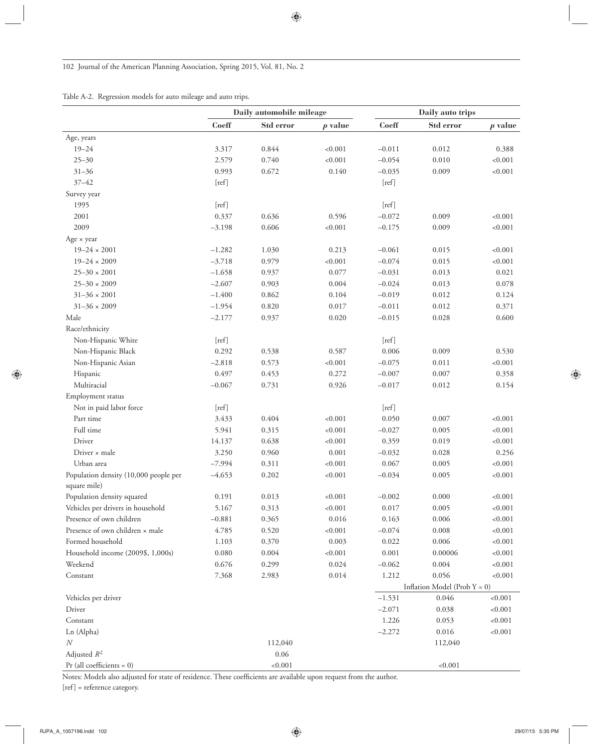| Table A-2. Regression models for auto mileage and auto trips. |  |
|---------------------------------------------------------------|--|
|                                                               |  |
|                                                               |  |

|                                       | Daily automobile mileage |           | Daily auto trips |          |                                 |            |
|---------------------------------------|--------------------------|-----------|------------------|----------|---------------------------------|------------|
|                                       | Coeff                    | Std error | p value          | Coeff    | Std error                       | $p$ value  |
| Age, years                            |                          |           |                  |          |                                 |            |
| $19 - 24$                             | 3.317                    | 0.844     | < 0.001          | $-0.011$ | 0.012                           | 0.388      |
| $25 - 30$                             | 2.579                    | 0.740     | < 0.001          | $-0.054$ | 0.010                           | < 0.001    |
| $31 - 36$                             | 0.993                    | 0.672     | 0.140            | $-0.035$ | 0.009                           | < 0.001    |
| $37 - 42$                             | [ref]                    |           |                  | [ref]    |                                 |            |
| Survey year                           |                          |           |                  |          |                                 |            |
| 1995                                  | [ref]                    |           |                  | [ref]    |                                 |            |
| 2001                                  | 0.337                    | 0.636     | 0.596            | $-0.072$ | 0.009                           | < 0.001    |
| 2009                                  | $-3.198$                 | 0.606     | < 0.001          | $-0.175$ | 0.009                           | < 0.001    |
| Age $\times$ year                     |                          |           |                  |          |                                 |            |
| $19 - 24 \times 2001$                 | $-1.282$                 | 1.030     | 0.213            | $-0.061$ | 0.015                           | < 0.001    |
| $19 - 24 \times 2009$                 | $-3.718$                 | 0.979     | < 0.001          | $-0.074$ | 0.015                           | < 0.001    |
| $25 - 30 \times 2001$                 | $-1.658$                 | 0.937     | $0.077\,$        | $-0.031$ | 0.013                           | 0.021      |
| $25 - 30 \times 2009$                 | $-2.607$                 | 0.903     | 0.004            | $-0.024$ | 0.013                           | 0.078      |
| $31 - 36 \times 2001$                 | $-1.400$                 | 0.862     | 0.104            | $-0.019$ | 0.012                           | 0.124      |
| $31 - 36 \times 2009$                 | $-1.954$                 | 0.820     | 0.017            | $-0.011$ | 0.012                           | 0.371      |
| Male                                  | $-2.177$                 | 0.937     | 0.020            | $-0.015$ | 0.028                           | 0.600      |
| Race/ethnicity                        |                          |           |                  |          |                                 |            |
| Non-Hispanic White                    | [ref]                    |           |                  | [ref]    |                                 |            |
| Non-Hispanic Black                    | 0.292                    | 0.538     | 0.587            | 0.006    | 0.009                           | 0.530      |
| Non-Hispanic Asian                    | $-2.818$                 | 0.573     | < 0.001          | $-0.075$ | 0.011                           | < 0.001    |
| Hispanic                              | 0.497                    | 0.453     | 0.272            | $-0.007$ | 0.007                           | 0.358      |
| Multiracial                           | $-0.067$                 | 0.731     | 0.926            | $-0.017$ | 0.012                           | 0.154      |
| Employment status                     |                          |           |                  |          |                                 |            |
| Not in paid labor force               | [ref]                    |           |                  | [ref]    |                                 |            |
| Part time                             | 3.433                    | 0.404     | < 0.001          | 0.050    | 0.007                           | < 0.001    |
| Full time                             | 5.941                    | 0.315     | < 0.001          | $-0.027$ | 0.005                           | < 0.001    |
| Driver                                | 14.137                   | 0.638     | < 0.001          | 0.359    | 0.019                           | < 0.001    |
| Driver × male                         | 3.250                    | 0.960     | 0.001            | $-0.032$ | 0.028                           | 0.256      |
| Urban area                            | $-7.994$                 | 0.311     | < 0.001          | 0.067    | 0.005                           | < 0.001    |
| Population density (10,000 people per | $-4.653$                 | 0.202     | < 0.001          | $-0.034$ | 0.005                           | ${<}0.001$ |
| square mile)                          |                          |           |                  |          |                                 |            |
| Population density squared            | 0.191                    | 0.013     | < 0.001          | $-0.002$ | 0.000                           | ${<}0.001$ |
| Vehicles per drivers in household     | 5.167                    | 0.313     | < 0.001          | 0.017    | 0.005                           | < 0.001    |
| Presence of own children              | $-0.881$                 | 0.365     | 0.016            | 0.163    | 0.006                           | < 0.001    |
| Presence of own children × male       | 4.785                    | 0.520     | < 0.001          | $-0.074$ | 0.008                           | < 0.001    |
| Formed household                      | 1.103                    | 0.370     | 0.003            | 0.022    | 0.006                           | < 0.001    |
| Household income (2009\$, 1,000s)     | 0.080                    | 0.004     | < 0.001          | 0.001    | 0.00006                         | ${<}0.001$ |
| Weekend                               | 0.676                    | 0.299     | 0.024            | $-0.062$ | 0.004                           | ${<}0.001$ |
| Constant                              | 7.368                    | 2.983     | 0.014            | 1.212    | 0.056                           | < 0.001    |
|                                       |                          |           |                  |          | Inflation Model (Prob $Y = 0$ ) |            |
| Vehicles per driver                   |                          |           |                  | $-1.531$ | 0.046                           | < 0.001    |
| Driver                                |                          |           |                  | $-2.071$ | 0.038                           | < 0.001    |
| Constant                              |                          |           |                  | 1.226    | 0.053                           | < 0.001    |
| Ln (Alpha)                            |                          |           |                  | $-2.272$ | 0.016                           | ${<}0.001$ |
| N                                     |                          | 112,040   |                  |          | 112,040                         |            |
| Adjusted $R^2$                        |                          | 0.06      |                  |          |                                 |            |
| $Pr$ (all coefficients = 0)           |                          | < 0.001   |                  |          | < 0.001                         |            |

Notes: Models also adjusted for state of residence. These coefficients are available upon request from the author. [ref] = reference category.